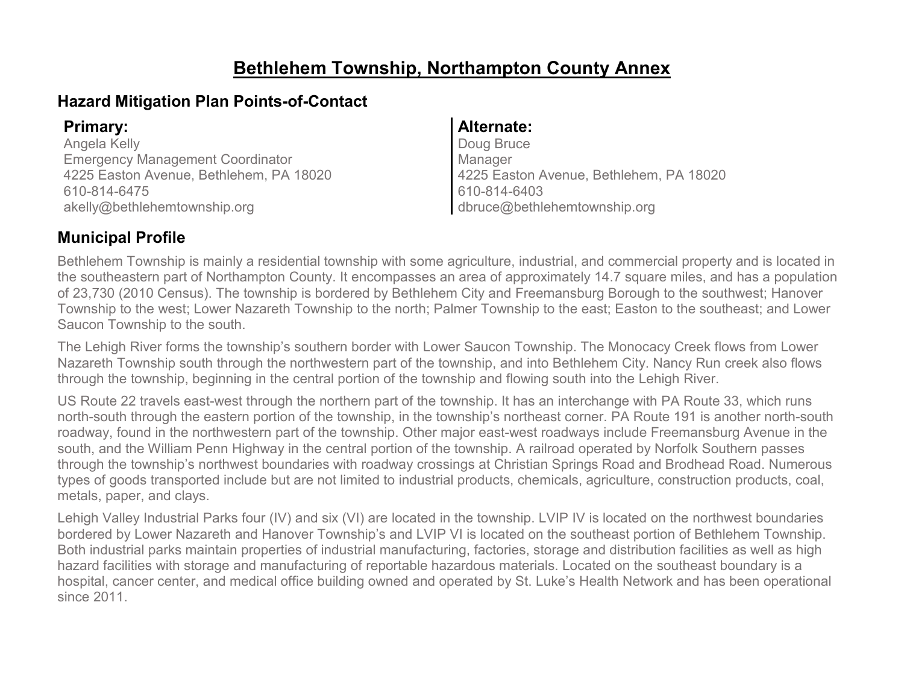### **Bethlehem Township, Northampton County Annex**

### **Hazard Mitigation Plan Points-of-Contact**

Angela Kelly Emergency Management Coordinator 4225 Easton Avenue, Bethlehem, PA 18020 610-814-6475 akelly@bethlehemtownship.org

#### **Primary: Alternate:**

Doug Bruce Manager 4225 Easton Avenue, Bethlehem, PA 18020 610-814-6403 dbruce@bethlehemtownship.org

### **Municipal Profile**

Bethlehem Township is mainly a residential township with some agriculture, industrial, and commercial property and is located in the southeastern part of Northampton County. It encompasses an area of approximately 14.7 square miles, and has a population of 23,730 (2010 Census). The township is bordered by Bethlehem City and Freemansburg Borough to the southwest; Hanover Township to the west; Lower Nazareth Township to the north; Palmer Township to the east; Easton to the southeast; and Lower Saucon Township to the south.

The Lehigh River forms the township's southern border with Lower Saucon Township. The Monocacy Creek flows from Lower Nazareth Township south through the northwestern part of the township, and into Bethlehem City. Nancy Run creek also flows through the township, beginning in the central portion of the township and flowing south into the Lehigh River.

US Route 22 travels east-west through the northern part of the township. It has an interchange with PA Route 33, which runs north-south through the eastern portion of the township, in the township's northeast corner. PA Route 191 is another north-south roadway, found in the northwestern part of the township. Other major east-west roadways include Freemansburg Avenue in the south, and the William Penn Highway in the central portion of the township. A railroad operated by Norfolk Southern passes through the township's northwest boundaries with roadway crossings at Christian Springs Road and Brodhead Road. Numerous types of goods transported include but are not limited to industrial products, chemicals, agriculture, construction products, coal, metals, paper, and clays.

Lehigh Valley Industrial Parks four (IV) and six (VI) are located in the township. LVIP IV is located on the northwest boundaries bordered by Lower Nazareth and Hanover Township's and LVIP VI is located on the southeast portion of Bethlehem Township. Both industrial parks maintain properties of industrial manufacturing, factories, storage and distribution facilities as well as high hazard facilities with storage and manufacturing of reportable hazardous materials. Located on the southeast boundary is a hospital, cancer center, and medical office building owned and operated by St. Luke's Health Network and has been operational since 2011.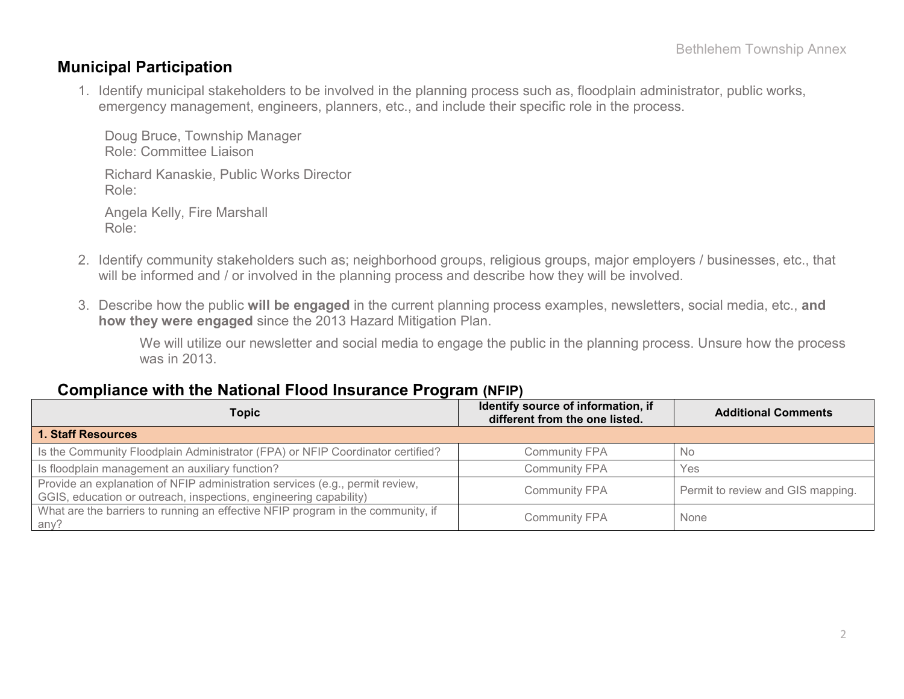#### **Municipal Participation**

1. Identify municipal stakeholders to be involved in the planning process such as, floodplain administrator, public works, emergency management, engineers, planners, etc., and include their specific role in the process.

Doug Bruce, Township Manager Role: Committee Liaison Richard Kanaskie, Public Works Director Role: Angela Kelly, Fire Marshall Role:

- 2. Identify community stakeholders such as; neighborhood groups, religious groups, major employers / businesses, etc., that will be informed and / or involved in the planning process and describe how they will be involved.
- 3. Describe how the public **will be engaged** in the current planning process examples, newsletters, social media, etc., **and how they were engaged** since the 2013 Hazard Mitigation Plan.

We will utilize our newsletter and social media to engage the public in the planning process. Unsure how the process was in 2013.

#### **Compliance with the National Flood Insurance Program (NFIP)**

| <b>Topic</b>                                                                                                                                      | Identify source of information, if<br>different from the one listed. | <b>Additional Comments</b>        |
|---------------------------------------------------------------------------------------------------------------------------------------------------|----------------------------------------------------------------------|-----------------------------------|
| <b>1. Staff Resources</b>                                                                                                                         |                                                                      |                                   |
| Is the Community Floodplain Administrator (FPA) or NFIP Coordinator certified?                                                                    | <b>Community FPA</b>                                                 | <b>No</b>                         |
| Is floodplain management an auxiliary function?                                                                                                   | <b>Community FPA</b>                                                 | Yes                               |
| Provide an explanation of NFIP administration services (e.g., permit review,<br>GGIS, education or outreach, inspections, engineering capability) | <b>Community FPA</b>                                                 | Permit to review and GIS mapping. |
| What are the barriers to running an effective NFIP program in the community, if<br>any?                                                           | <b>Community FPA</b>                                                 | None                              |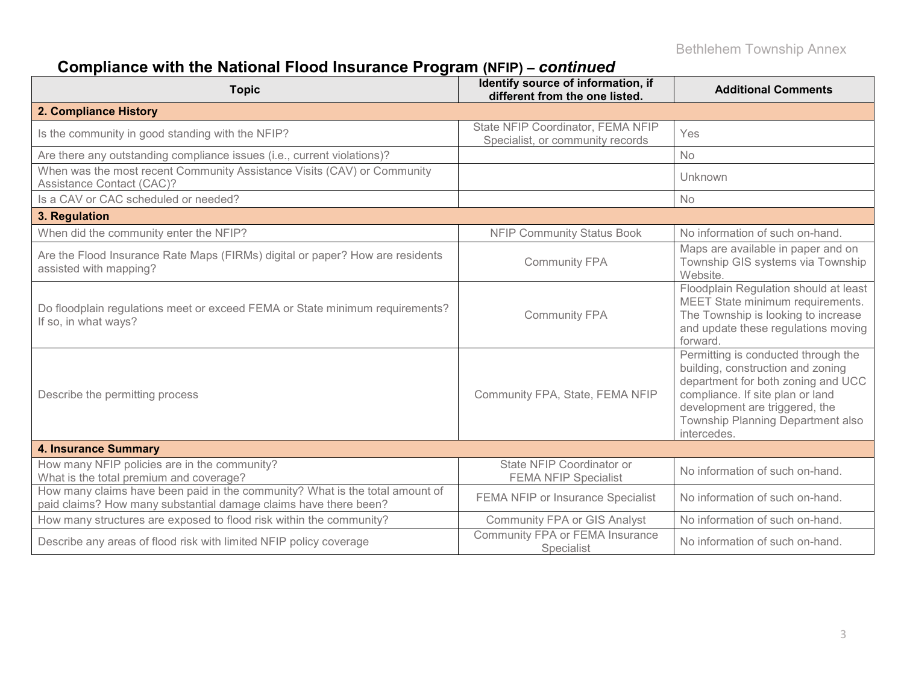# **Compliance with the National Flood Insurance Program (NFIP) –** *continued*

| <b>Topic</b>                                                                                                                                     | Identify source of information, if<br>different from the one listed.  | <b>Additional Comments</b>                                                                                                                                                                                                               |
|--------------------------------------------------------------------------------------------------------------------------------------------------|-----------------------------------------------------------------------|------------------------------------------------------------------------------------------------------------------------------------------------------------------------------------------------------------------------------------------|
| 2. Compliance History                                                                                                                            |                                                                       |                                                                                                                                                                                                                                          |
| Is the community in good standing with the NFIP?                                                                                                 | State NFIP Coordinator, FEMA NFIP<br>Specialist, or community records | Yes                                                                                                                                                                                                                                      |
| Are there any outstanding compliance issues (i.e., current violations)?                                                                          |                                                                       | <b>No</b>                                                                                                                                                                                                                                |
| When was the most recent Community Assistance Visits (CAV) or Community<br>Assistance Contact (CAC)?                                             |                                                                       | Unknown                                                                                                                                                                                                                                  |
| Is a CAV or CAC scheduled or needed?                                                                                                             |                                                                       | No                                                                                                                                                                                                                                       |
| 3. Regulation                                                                                                                                    |                                                                       |                                                                                                                                                                                                                                          |
| When did the community enter the NFIP?                                                                                                           | <b>NFIP Community Status Book</b>                                     | No information of such on-hand.                                                                                                                                                                                                          |
| Are the Flood Insurance Rate Maps (FIRMs) digital or paper? How are residents<br>assisted with mapping?                                          | <b>Community FPA</b>                                                  | Maps are available in paper and on<br>Township GIS systems via Township<br>Website.                                                                                                                                                      |
| Do floodplain regulations meet or exceed FEMA or State minimum requirements?<br>If so, in what ways?                                             | <b>Community FPA</b>                                                  | Floodplain Regulation should at least<br>MEET State minimum requirements.<br>The Township is looking to increase<br>and update these regulations moving<br>forward.                                                                      |
| Describe the permitting process                                                                                                                  | Community FPA, State, FEMA NFIP                                       | Permitting is conducted through the<br>building, construction and zoning<br>department for both zoning and UCC<br>compliance. If site plan or land<br>development are triggered, the<br>Township Planning Department also<br>intercedes. |
| <b>4. Insurance Summary</b>                                                                                                                      |                                                                       |                                                                                                                                                                                                                                          |
| How many NFIP policies are in the community?<br>What is the total premium and coverage?                                                          | State NFIP Coordinator or<br><b>FEMA NFIP Specialist</b>              | No information of such on-hand.                                                                                                                                                                                                          |
| How many claims have been paid in the community? What is the total amount of<br>paid claims? How many substantial damage claims have there been? | FEMA NFIP or Insurance Specialist                                     | No information of such on-hand.                                                                                                                                                                                                          |
| How many structures are exposed to flood risk within the community?                                                                              | <b>Community FPA or GIS Analyst</b>                                   | No information of such on-hand.                                                                                                                                                                                                          |
| Describe any areas of flood risk with limited NFIP policy coverage                                                                               | Community FPA or FEMA Insurance<br>Specialist                         | No information of such on-hand.                                                                                                                                                                                                          |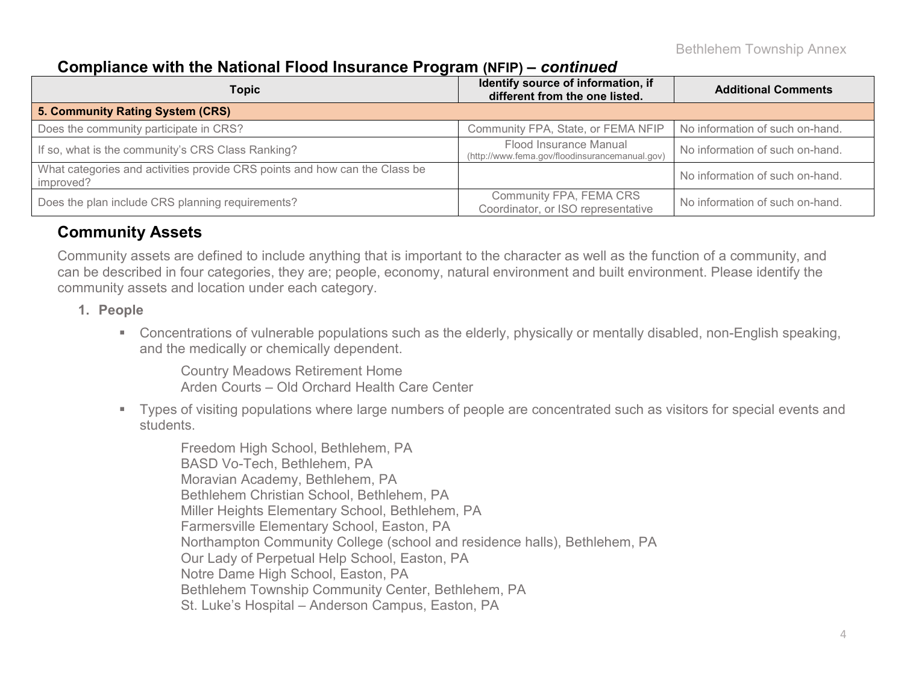#### **Compliance with the National Flood Insurance Program (NFIP) –** *continued*

| <b>Topic</b>                                                                            | Identify source of information, if<br>different from the one listed.     | <b>Additional Comments</b>      |
|-----------------------------------------------------------------------------------------|--------------------------------------------------------------------------|---------------------------------|
| 5. Community Rating System (CRS)                                                        |                                                                          |                                 |
| Does the community participate in CRS?                                                  | Community FPA, State, or FEMA NFIP                                       | No information of such on-hand. |
| If so, what is the community's CRS Class Ranking?                                       | Flood Insurance Manual<br>(http://www.fema.gov/floodinsurancemanual.gov) | No information of such on-hand. |
| What categories and activities provide CRS points and how can the Class be<br>improved? |                                                                          | No information of such on-hand. |
| Does the plan include CRS planning requirements?                                        | Community FPA, FEMA CRS<br>Coordinator, or ISO representative            | No information of such on-hand. |

#### **Community Assets**

Community assets are defined to include anything that is important to the character as well as the function of a community, and can be described in four categories, they are; people, economy, natural environment and built environment. Please identify the community assets and location under each category.

#### **1. People**

 Concentrations of vulnerable populations such as the elderly, physically or mentally disabled, non-English speaking, and the medically or chemically dependent.

Country Meadows Retirement Home Arden Courts – Old Orchard Health Care Center

 Types of visiting populations where large numbers of people are concentrated such as visitors for special events and students.

Freedom High School, Bethlehem, PA BASD Vo-Tech, Bethlehem, PA Moravian Academy, Bethlehem, PA Bethlehem Christian School, Bethlehem, PA Miller Heights Elementary School, Bethlehem, PA Farmersville Elementary School, Easton, PA Northampton Community College (school and residence halls), Bethlehem, PA Our Lady of Perpetual Help School, Easton, PA Notre Dame High School, Easton, PA Bethlehem Township Community Center, Bethlehem, PA St. Luke's Hospital – Anderson Campus, Easton, PA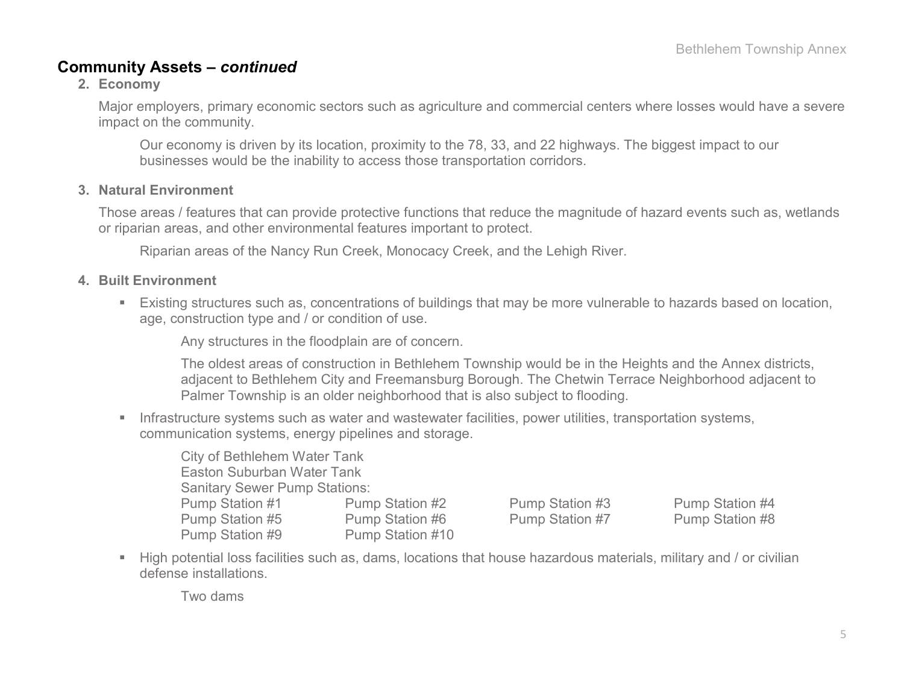#### **Community Assets –** *continued*

**2. Economy**

Major employers, primary economic sectors such as agriculture and commercial centers where losses would have a severe impact on the community.

Our economy is driven by its location, proximity to the 78, 33, and 22 highways. The biggest impact to our businesses would be the inability to access those transportation corridors.

#### **3. Natural Environment**

Those areas / features that can provide protective functions that reduce the magnitude of hazard events such as, wetlands or riparian areas, and other environmental features important to protect.

Riparian areas of the Nancy Run Creek, Monocacy Creek, and the Lehigh River.

#### **4. Built Environment**

 Existing structures such as, concentrations of buildings that may be more vulnerable to hazards based on location, age, construction type and / or condition of use.

Any structures in the floodplain are of concern.

The oldest areas of construction in Bethlehem Township would be in the Heights and the Annex districts, adjacent to Bethlehem City and Freemansburg Borough. The Chetwin Terrace Neighborhood adjacent to Palmer Township is an older neighborhood that is also subject to flooding.

**Infrastructure systems such as water and wastewater facilities, power utilities, transportation systems,** communication systems, energy pipelines and storage.

| <b>City of Bethlehem Water Tank</b>  |                  |  |  |  |  |  |  |  |
|--------------------------------------|------------------|--|--|--|--|--|--|--|
| <b>Easton Suburban Water Tank</b>    |                  |  |  |  |  |  |  |  |
| <b>Sanitary Sewer Pump Stations:</b> |                  |  |  |  |  |  |  |  |
| <b>Pump Station #1</b>               | Pump Station #2  |  |  |  |  |  |  |  |
| Pump Station #5                      | Pump Station #6  |  |  |  |  |  |  |  |
| Pump Station #9                      | Pump Station #10 |  |  |  |  |  |  |  |

Pump Station #3 Pump Station #4 Pump Station #7 Pump Station #8

 High potential loss facilities such as, dams, locations that house hazardous materials, military and / or civilian defense installations.

Two dams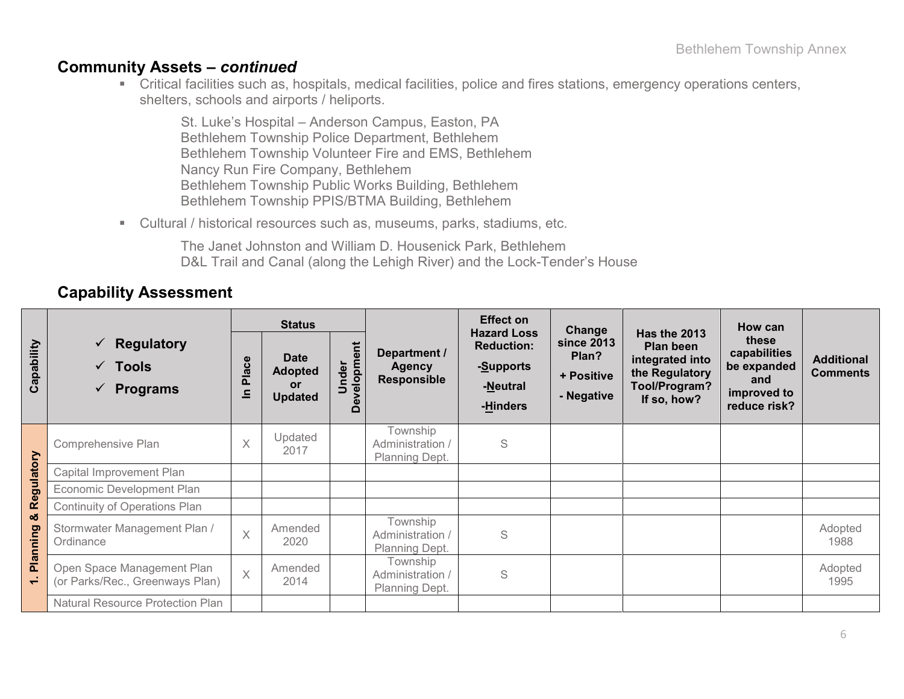#### **Community Assets –** *continued*

 Critical facilities such as, hospitals, medical facilities, police and fires stations, emergency operations centers, shelters, schools and airports / heliports.

St. Luke's Hospital – Anderson Campus, Easton, PA Bethlehem Township Police Department, Bethlehem Bethlehem Township Volunteer Fire and EMS, Bethlehem Nancy Run Fire Company, Bethlehem Bethlehem Township Public Works Building, Bethlehem Bethlehem Township PPIS/BTMA Building, Bethlehem

Cultural / historical resources such as, museums, parks, stadiums, etc.

The Janet Johnston and William D. Housenick Park, Bethlehem D&L Trail and Canal (along the Lehigh River) and the Lock-Tender's House

#### **Capability Assessment**

|                          |                                                                                          | <b>Status</b>           |                                                              |                              |                                                     | <b>Effect on</b><br><b>Hazard Loss</b>                 | Change                                          |                                                                                                | How can                                                                    |                                      |
|--------------------------|------------------------------------------------------------------------------------------|-------------------------|--------------------------------------------------------------|------------------------------|-----------------------------------------------------|--------------------------------------------------------|-------------------------------------------------|------------------------------------------------------------------------------------------------|----------------------------------------------------------------------------|--------------------------------------|
| Capability               | <b>Regulatory</b><br>$\checkmark$<br>$\sqrt{ }$ Tools<br><b>Programs</b><br>$\checkmark$ | Place<br>$\equiv$       | <b>Date</b><br><b>Adopted</b><br><b>or</b><br><b>Updated</b> | velopment<br>Under<br>Φ<br>≏ | Department /<br><b>Agency</b><br><b>Responsible</b> | <b>Reduction:</b><br>-Supports<br>-Neutral<br>-Hinders | since 2013<br>Plan?<br>+ Positive<br>- Negative | Has the 2013<br>Plan been<br>integrated into<br>the Regulatory<br>Tool/Program?<br>If so, how? | these<br>capabilities<br>be expanded<br>and<br>improved to<br>reduce risk? | <b>Additional</b><br><b>Comments</b> |
|                          | Comprehensive Plan                                                                       | $\overline{\mathsf{X}}$ | Updated<br>2017                                              |                              | Township<br>Administration /<br>Planning Dept.      | S                                                      |                                                 |                                                                                                |                                                                            |                                      |
| Regulatory               | Capital Improvement Plan                                                                 |                         |                                                              |                              |                                                     |                                                        |                                                 |                                                                                                |                                                                            |                                      |
|                          | Economic Development Plan                                                                |                         |                                                              |                              |                                                     |                                                        |                                                 |                                                                                                |                                                                            |                                      |
|                          | <b>Continuity of Operations Plan</b>                                                     |                         |                                                              |                              |                                                     |                                                        |                                                 |                                                                                                |                                                                            |                                      |
| ಯ<br>Planning            | Stormwater Management Plan /<br>Ordinance                                                | $\overline{X}$          | Amended<br>2020                                              |                              | Township<br>Administration /<br>Planning Dept.      | S                                                      |                                                 |                                                                                                |                                                                            | Adopted<br>1988                      |
| $\overline{\phantom{0}}$ | Open Space Management Plan<br>(or Parks/Rec., Greenways Plan)                            | $\overline{X}$          | Amended<br>2014                                              |                              | Township<br>Administration /<br>Planning Dept.      | S                                                      |                                                 |                                                                                                |                                                                            | Adopted<br>1995                      |
|                          | Natural Resource Protection Plan                                                         |                         |                                                              |                              |                                                     |                                                        |                                                 |                                                                                                |                                                                            |                                      |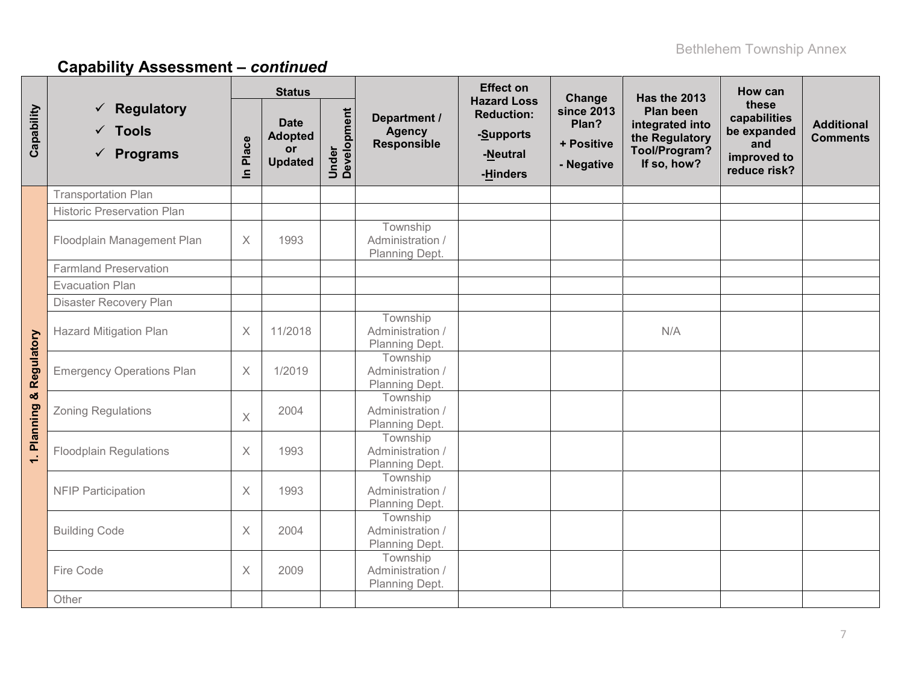|              |                                                                        |                         | <b>Status</b>                                         |                      |                                                | <b>Effect on</b><br><b>Hazard Loss</b>                 | Change                                                 | Has the 2013                                                                          | How can                                                                    |                                      |
|--------------|------------------------------------------------------------------------|-------------------------|-------------------------------------------------------|----------------------|------------------------------------------------|--------------------------------------------------------|--------------------------------------------------------|---------------------------------------------------------------------------------------|----------------------------------------------------------------------------|--------------------------------------|
| Capability   | $\checkmark$ Regulatory<br>$\checkmark$ Tools<br>$\checkmark$ Programs | Place<br>$\blacksquare$ | <b>Date</b><br><b>Adopted</b><br>or<br><b>Updated</b> | Under<br>Development | Department /<br><b>Agency</b><br>Responsible   | <b>Reduction:</b><br>-Supports<br>-Neutral<br>-Hinders | <b>since 2013</b><br>Plan?<br>+ Positive<br>- Negative | Plan been<br>integrated into<br>the Regulatory<br><b>Tool/Program?</b><br>If so, how? | these<br>capabilities<br>be expanded<br>and<br>improved to<br>reduce risk? | <b>Additional</b><br><b>Comments</b> |
|              | <b>Transportation Plan</b>                                             |                         |                                                       |                      |                                                |                                                        |                                                        |                                                                                       |                                                                            |                                      |
|              | <b>Historic Preservation Plan</b>                                      |                         |                                                       |                      |                                                |                                                        |                                                        |                                                                                       |                                                                            |                                      |
|              | Floodplain Management Plan                                             | $\times$                | 1993                                                  |                      | Township<br>Administration /<br>Planning Dept. |                                                        |                                                        |                                                                                       |                                                                            |                                      |
|              | <b>Farmland Preservation</b>                                           |                         |                                                       |                      |                                                |                                                        |                                                        |                                                                                       |                                                                            |                                      |
|              | <b>Evacuation Plan</b>                                                 |                         |                                                       |                      |                                                |                                                        |                                                        |                                                                                       |                                                                            |                                      |
|              | Disaster Recovery Plan                                                 |                         |                                                       |                      |                                                |                                                        |                                                        |                                                                                       |                                                                            |                                      |
|              | <b>Hazard Mitigation Plan</b>                                          | $\times$                | 11/2018                                               |                      | Township<br>Administration /<br>Planning Dept. |                                                        |                                                        | N/A                                                                                   |                                                                            |                                      |
| & Regulatory | <b>Emergency Operations Plan</b>                                       | $\times$                | 1/2019                                                |                      | Township<br>Administration /<br>Planning Dept. |                                                        |                                                        |                                                                                       |                                                                            |                                      |
|              | <b>Zoning Regulations</b>                                              | $\times$                | 2004                                                  |                      | Township<br>Administration /<br>Planning Dept. |                                                        |                                                        |                                                                                       |                                                                            |                                      |
| 1. Planning  | <b>Floodplain Regulations</b>                                          | $\times$                | 1993                                                  |                      | Township<br>Administration /<br>Planning Dept. |                                                        |                                                        |                                                                                       |                                                                            |                                      |
|              | <b>NFIP Participation</b>                                              | $\times$                | 1993                                                  |                      | Township<br>Administration /<br>Planning Dept. |                                                        |                                                        |                                                                                       |                                                                            |                                      |
|              | <b>Building Code</b>                                                   | $\times$                | 2004                                                  |                      | Township<br>Administration /<br>Planning Dept. |                                                        |                                                        |                                                                                       |                                                                            |                                      |
|              | Fire Code                                                              | $\times$                | 2009                                                  |                      | Township<br>Administration /<br>Planning Dept. |                                                        |                                                        |                                                                                       |                                                                            |                                      |
|              | Other                                                                  |                         |                                                       |                      |                                                |                                                        |                                                        |                                                                                       |                                                                            |                                      |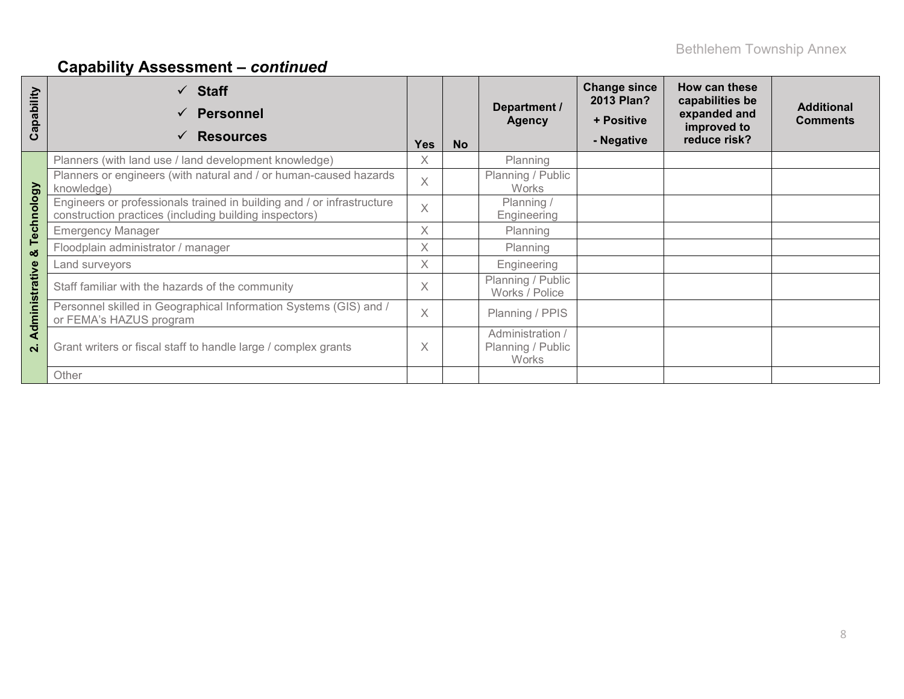| apability<br>ပ               | $\checkmark$ Staff<br>Personnel<br><b>Resources</b>                                                                              | <b>Yes</b> | <b>No</b> | Department /<br><b>Agency</b>                  | <b>Change since</b><br>2013 Plan?<br>+ Positive<br>- Negative | How can these<br>capabilities be<br>expanded and<br>improved to<br>reduce risk? | <b>Additional</b><br><b>Comments</b> |
|------------------------------|----------------------------------------------------------------------------------------------------------------------------------|------------|-----------|------------------------------------------------|---------------------------------------------------------------|---------------------------------------------------------------------------------|--------------------------------------|
|                              | Planners (with land use / land development knowledge)                                                                            | X          |           | Planning                                       |                                                               |                                                                                 |                                      |
|                              | Planners or engineers (with natural and / or human-caused hazards<br>knowledge)                                                  | $\times$   |           | Planning / Public<br><b>Works</b>              |                                                               |                                                                                 |                                      |
| Technology                   | Engineers or professionals trained in building and / or infrastructure<br>construction practices (including building inspectors) | $\times$   |           | Planning /<br>Engineering                      |                                                               |                                                                                 |                                      |
|                              | <b>Emergency Manager</b>                                                                                                         | X          |           | Planning                                       |                                                               |                                                                                 |                                      |
| ೲ                            | Floodplain administrator / manager                                                                                               | X          |           | Planning                                       |                                                               |                                                                                 |                                      |
|                              | Land surveyors                                                                                                                   | X          |           | Engineering                                    |                                                               |                                                                                 |                                      |
|                              | Staff familiar with the hazards of the community                                                                                 | X          |           | Planning / Public<br>Works / Police            |                                                               |                                                                                 |                                      |
| dministrative                | Personnel skilled in Geographical Information Systems (GIS) and /<br>or FEMA's HAZUS program                                     | $\times$   |           | Planning / PPIS                                |                                                               |                                                                                 |                                      |
| ⋖<br>$\overline{\mathbf{N}}$ | Grant writers or fiscal staff to handle large / complex grants                                                                   | X          |           | Administration /<br>Planning / Public<br>Works |                                                               |                                                                                 |                                      |
|                              | Other                                                                                                                            |            |           |                                                |                                                               |                                                                                 |                                      |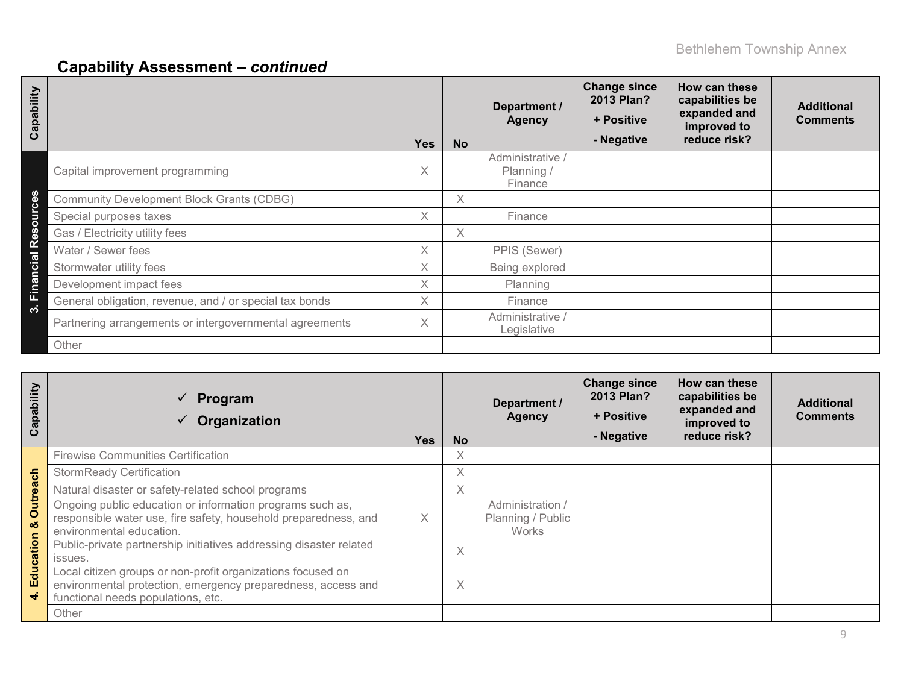| Capability                      |                                                         | <b>Yes</b> | <b>No</b> | Department /<br><b>Agency</b>             | <b>Change since</b><br>2013 Plan?<br>+ Positive<br>- Negative | How can these<br>capabilities be<br>expanded and<br>improved to<br>reduce risk? | <b>Additional</b><br><b>Comments</b> |
|---------------------------------|---------------------------------------------------------|------------|-----------|-------------------------------------------|---------------------------------------------------------------|---------------------------------------------------------------------------------|--------------------------------------|
|                                 | Capital improvement programming                         | Χ          |           | Administrative /<br>Planning /<br>Finance |                                                               |                                                                                 |                                      |
|                                 | <b>Community Development Block Grants (CDBG)</b>        |            | X.        |                                           |                                                               |                                                                                 |                                      |
| ources                          | Special purposes taxes                                  | X.         |           | Finance                                   |                                                               |                                                                                 |                                      |
| $\boldsymbol{\omega}$<br>ق<br>ه | Gas / Electricity utility fees                          |            | X.        |                                           |                                                               |                                                                                 |                                      |
|                                 | Water / Sewer fees                                      | X          |           | PPIS (Sewer)                              |                                                               |                                                                                 |                                      |
| <b>Financial</b>                | Stormwater utility fees                                 | X          |           | Being explored                            |                                                               |                                                                                 |                                      |
|                                 | Development impact fees                                 | X          |           | Planning                                  |                                                               |                                                                                 |                                      |
|                                 | General obligation, revenue, and / or special tax bonds | X.         |           | Finance                                   |                                                               |                                                                                 |                                      |
| က                               | Partnering arrangements or intergovernmental agreements | X          |           | Administrative /<br>Legislative           |                                                               |                                                                                 |                                      |
|                                 | Other                                                   |            |           |                                           |                                                               |                                                                                 |                                      |

| Capability     | Program<br>$\checkmark$<br>Organization                                                                                                                           | <b>Yes</b> | <b>No</b>         | Department /<br><b>Agency</b>                         | <b>Change since</b><br>2013 Plan?<br>+ Positive<br>- Negative | How can these<br>capabilities be<br>expanded and<br>improved to<br>reduce risk? | <b>Additional</b><br><b>Comments</b> |
|----------------|-------------------------------------------------------------------------------------------------------------------------------------------------------------------|------------|-------------------|-------------------------------------------------------|---------------------------------------------------------------|---------------------------------------------------------------------------------|--------------------------------------|
|                | <b>Firewise Communities Certification</b>                                                                                                                         |            | X                 |                                                       |                                                               |                                                                                 |                                      |
|                | <b>StormReady Certification</b>                                                                                                                                   |            | X                 |                                                       |                                                               |                                                                                 |                                      |
|                | Natural disaster or safety-related school programs                                                                                                                |            | X                 |                                                       |                                                               |                                                                                 |                                      |
| Outreach<br>οö | Ongoing public education or information programs such as,<br>responsible water use, fire safety, household preparedness, and<br>environmental education.          | X          |                   | Administration /<br>Planning / Public<br><b>Works</b> |                                                               |                                                                                 |                                      |
|                | Public-private partnership initiatives addressing disaster related<br>issues.                                                                                     |            | $\checkmark$<br>∧ |                                                       |                                                               |                                                                                 |                                      |
| Education<br>÷ | Local citizen groups or non-profit organizations focused on<br>environmental protection, emergency preparedness, access and<br>functional needs populations, etc. |            | $\checkmark$<br>∧ |                                                       |                                                               |                                                                                 |                                      |
|                | Other                                                                                                                                                             |            |                   |                                                       |                                                               |                                                                                 |                                      |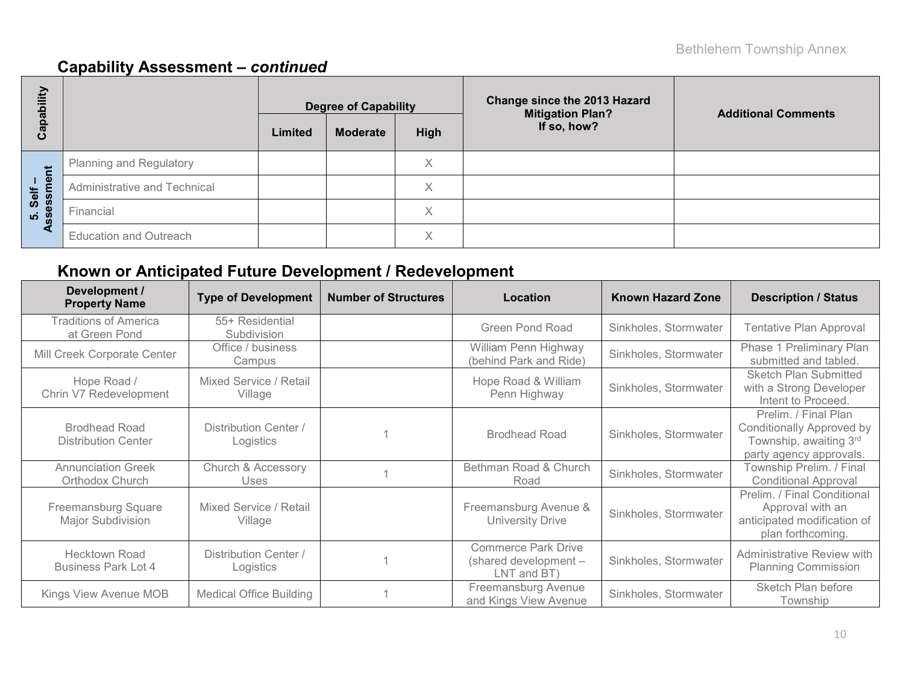| Capability             |                                |         | <b>Degree of Capability</b> |                   | <b>Change since the 2013 Hazard</b><br><b>Mitigation Plan?</b> | <b>Additional Comments</b> |
|------------------------|--------------------------------|---------|-----------------------------|-------------------|----------------------------------------------------------------|----------------------------|
|                        |                                | Limited | <b>Moderate</b>             | High              | If so, how?                                                    |                            |
|                        | <b>Planning and Regulatory</b> |         |                             | Χ                 |                                                                |                            |
|                        | Administrative and Technical   |         |                             | $\checkmark$<br>∧ |                                                                |                            |
| 5. Self –<br>ssessment | Financial                      |         |                             | Χ                 |                                                                |                            |
| ৼ                      | <b>Education and Outreach</b>  |         |                             | $\checkmark$<br>∧ |                                                                |                            |

### **Known or Anticipated Future Development / Redevelopment**

| Development /<br><b>Property Name</b>              | <b>Type of Development</b>         | <b>Number of Structures</b> | Location                                                           | <b>Known Hazard Zone</b> | <b>Description / Status</b>                                                                                   |
|----------------------------------------------------|------------------------------------|-----------------------------|--------------------------------------------------------------------|--------------------------|---------------------------------------------------------------------------------------------------------------|
| <b>Traditions of America</b><br>at Green Pond      | 55+ Residential<br>Subdivision     |                             | <b>Green Pond Road</b>                                             | Sinkholes, Stormwater    | Tentative Plan Approval                                                                                       |
| Mill Creek Corporate Center                        | Office / business<br>Campus        |                             | William Penn Highway<br>(behind Park and Ride)                     | Sinkholes, Stormwater    | Phase 1 Preliminary Plan<br>submitted and tabled.                                                             |
| Hope Road /<br>Chrin V7 Redevelopment              | Mixed Service / Retail<br>Village  |                             | Hope Road & William<br>Penn Highway                                | Sinkholes, Stormwater    | <b>Sketch Plan Submitted</b><br>with a Strong Developer<br>Intent to Proceed.                                 |
| <b>Brodhead Road</b><br><b>Distribution Center</b> | Distribution Center /<br>Logistics |                             | <b>Brodhead Road</b>                                               | Sinkholes, Stormwater    | Prelim. / Final Plan<br><b>Conditionally Approved by</b><br>Township, awaiting 3rd<br>party agency approvals. |
| <b>Annunciation Greek</b><br>Orthodox Church       | Church & Accessory<br>Uses         |                             | Bethman Road & Church<br>Road                                      | Sinkholes, Stormwater    | Township Prelim. / Final<br><b>Conditional Approval</b>                                                       |
| Freemansburg Square<br>Major Subdivision           | Mixed Service / Retail<br>Village  |                             | Freemansburg Avenue &<br><b>University Drive</b>                   | Sinkholes, Stormwater    | Prelim. / Final Conditional<br>Approval with an<br>anticipated modification of<br>plan forthcoming.           |
| <b>Hecktown Road</b><br><b>Business Park Lot 4</b> | Distribution Center /<br>Logistics |                             | <b>Commerce Park Drive</b><br>(shared development -<br>LNT and BT) | Sinkholes, Stormwater    | Administrative Review with<br><b>Planning Commission</b>                                                      |
| Kings View Avenue MOB                              | <b>Medical Office Building</b>     |                             | Freemansburg Avenue<br>and Kings View Avenue                       | Sinkholes, Stormwater    | Sketch Plan before<br>Township                                                                                |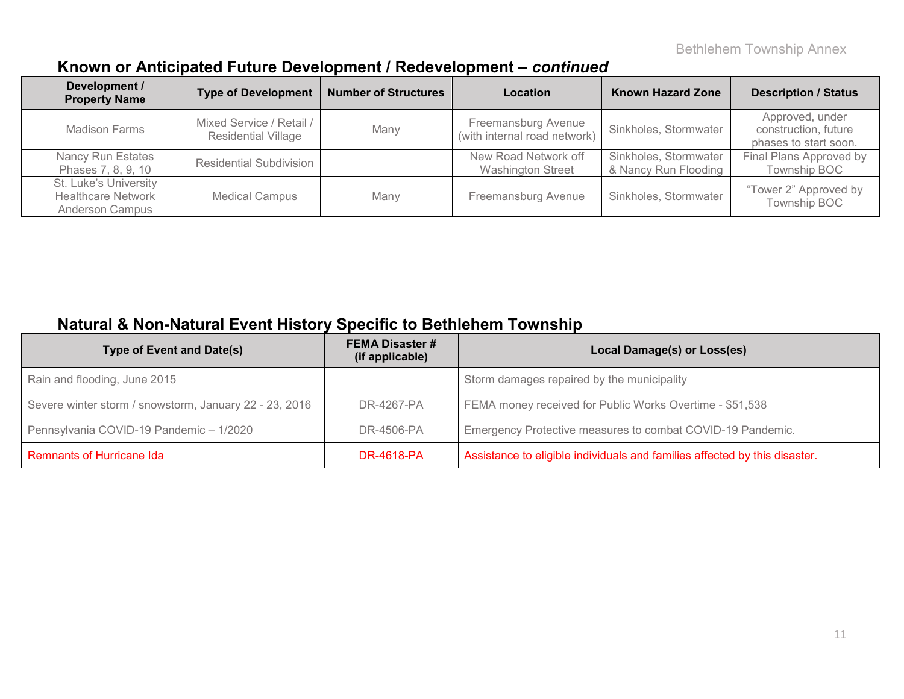### **Known or Anticipated Future Development / Redevelopment –** *continued*

| Development /<br><b>Property Name</b>                                        | <b>Type of Development</b>                             | <b>Number of Structures</b> | Location                                            | <b>Known Hazard Zone</b>                      | <b>Description / Status</b>                                      |
|------------------------------------------------------------------------------|--------------------------------------------------------|-----------------------------|-----------------------------------------------------|-----------------------------------------------|------------------------------------------------------------------|
| <b>Madison Farms</b>                                                         | Mixed Service / Retail /<br><b>Residential Village</b> | Many                        | Freemansburg Avenue<br>(with internal road network) | Sinkholes, Stormwater                         | Approved, under<br>construction, future<br>phases to start soon. |
| Nancy Run Estates<br>Phases 7, 8, 9, 10                                      | <b>Residential Subdivision</b>                         |                             | New Road Network off<br><b>Washington Street</b>    | Sinkholes, Stormwater<br>& Nancy Run Flooding | Final Plans Approved by<br>Township BOC                          |
| St. Luke's University<br><b>Healthcare Network</b><br><b>Anderson Campus</b> | <b>Medical Campus</b>                                  | Many                        | Freemansburg Avenue                                 | Sinkholes, Stormwater                         | "Tower 2" Approved by<br>Township BOC                            |

### **Natural & Non-Natural Event History Specific to Bethlehem Township**

| <b>Type of Event and Date(s)</b>                       | <b>FEMA Disaster #</b><br>(if applicable) | Local Damage(s) or Loss(es)                                                |
|--------------------------------------------------------|-------------------------------------------|----------------------------------------------------------------------------|
| Rain and flooding, June 2015                           |                                           | Storm damages repaired by the municipality                                 |
| Severe winter storm / snowstorm, January 22 - 23, 2016 | DR-4267-PA                                | FEMA money received for Public Works Overtime - \$51,538                   |
| Pennsylvania COVID-19 Pandemic - 1/2020                | DR-4506-PA                                | Emergency Protective measures to combat COVID-19 Pandemic.                 |
| Remnants of Hurricane Ida                              | <b>DR-4618-PA</b>                         | Assistance to eligible individuals and families affected by this disaster. |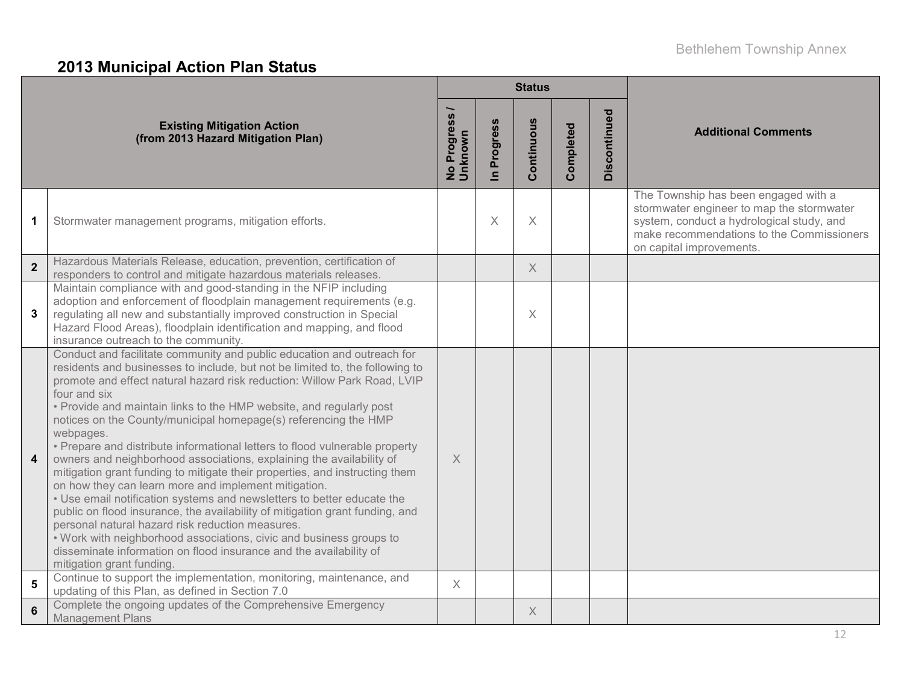### **2013 Municipal Action Plan Status**

|                         |                                                                                                                                                                                                                                                                                                                                                                                                                                                                                                                                                                                                                                                                                                                                                                                                                                                                                                                                                                                                                                                                                                 |                          |                          | <b>Status</b> |           |              |                                                                                                                                                                                                         |  |
|-------------------------|-------------------------------------------------------------------------------------------------------------------------------------------------------------------------------------------------------------------------------------------------------------------------------------------------------------------------------------------------------------------------------------------------------------------------------------------------------------------------------------------------------------------------------------------------------------------------------------------------------------------------------------------------------------------------------------------------------------------------------------------------------------------------------------------------------------------------------------------------------------------------------------------------------------------------------------------------------------------------------------------------------------------------------------------------------------------------------------------------|--------------------------|--------------------------|---------------|-----------|--------------|---------------------------------------------------------------------------------------------------------------------------------------------------------------------------------------------------------|--|
|                         | <b>Existing Mitigation Action</b><br>(from 2013 Hazard Mitigation Plan)                                                                                                                                                                                                                                                                                                                                                                                                                                                                                                                                                                                                                                                                                                                                                                                                                                                                                                                                                                                                                         | No Progress /<br>Unknown | Progress<br>$\mathbf{a}$ | Continuous    | Completed | Discontinued | <b>Additional Comments</b>                                                                                                                                                                              |  |
| $\mathbf 1$             | Stormwater management programs, mitigation efforts.                                                                                                                                                                                                                                                                                                                                                                                                                                                                                                                                                                                                                                                                                                                                                                                                                                                                                                                                                                                                                                             |                          | $\times$                 | $\mathsf X$   |           |              | The Township has been engaged with a<br>stormwater engineer to map the stormwater<br>system, conduct a hydrological study, and<br>make recommendations to the Commissioners<br>on capital improvements. |  |
| $\mathbf{2}$            | Hazardous Materials Release, education, prevention, certification of<br>responders to control and mitigate hazardous materials releases.                                                                                                                                                                                                                                                                                                                                                                                                                                                                                                                                                                                                                                                                                                                                                                                                                                                                                                                                                        |                          |                          | $\times$      |           |              |                                                                                                                                                                                                         |  |
| $\mathbf{3}$            | Maintain compliance with and good-standing in the NFIP including<br>adoption and enforcement of floodplain management requirements (e.g.<br>regulating all new and substantially improved construction in Special<br>Hazard Flood Areas), floodplain identification and mapping, and flood<br>insurance outreach to the community.                                                                                                                                                                                                                                                                                                                                                                                                                                                                                                                                                                                                                                                                                                                                                              |                          |                          | X             |           |              |                                                                                                                                                                                                         |  |
| $\overline{\mathbf{4}}$ | Conduct and facilitate community and public education and outreach for<br>residents and businesses to include, but not be limited to, the following to<br>promote and effect natural hazard risk reduction: Willow Park Road, LVIP<br>four and six<br>• Provide and maintain links to the HMP website, and regularly post<br>notices on the County/municipal homepage(s) referencing the HMP<br>webpages.<br>• Prepare and distribute informational letters to flood vulnerable property<br>owners and neighborhood associations, explaining the availability of<br>mitigation grant funding to mitigate their properties, and instructing them<br>on how they can learn more and implement mitigation.<br>. Use email notification systems and newsletters to better educate the<br>public on flood insurance, the availability of mitigation grant funding, and<br>personal natural hazard risk reduction measures.<br>. Work with neighborhood associations, civic and business groups to<br>disseminate information on flood insurance and the availability of<br>mitigation grant funding. | X                        |                          |               |           |              |                                                                                                                                                                                                         |  |
| ${\bf 5}$               | Continue to support the implementation, monitoring, maintenance, and<br>updating of this Plan, as defined in Section 7.0                                                                                                                                                                                                                                                                                                                                                                                                                                                                                                                                                                                                                                                                                                                                                                                                                                                                                                                                                                        | $\chi$                   |                          |               |           |              |                                                                                                                                                                                                         |  |
| $6\phantom{1}6$         | Complete the ongoing updates of the Comprehensive Emergency<br><b>Management Plans</b>                                                                                                                                                                                                                                                                                                                                                                                                                                                                                                                                                                                                                                                                                                                                                                                                                                                                                                                                                                                                          |                          |                          | X             |           |              |                                                                                                                                                                                                         |  |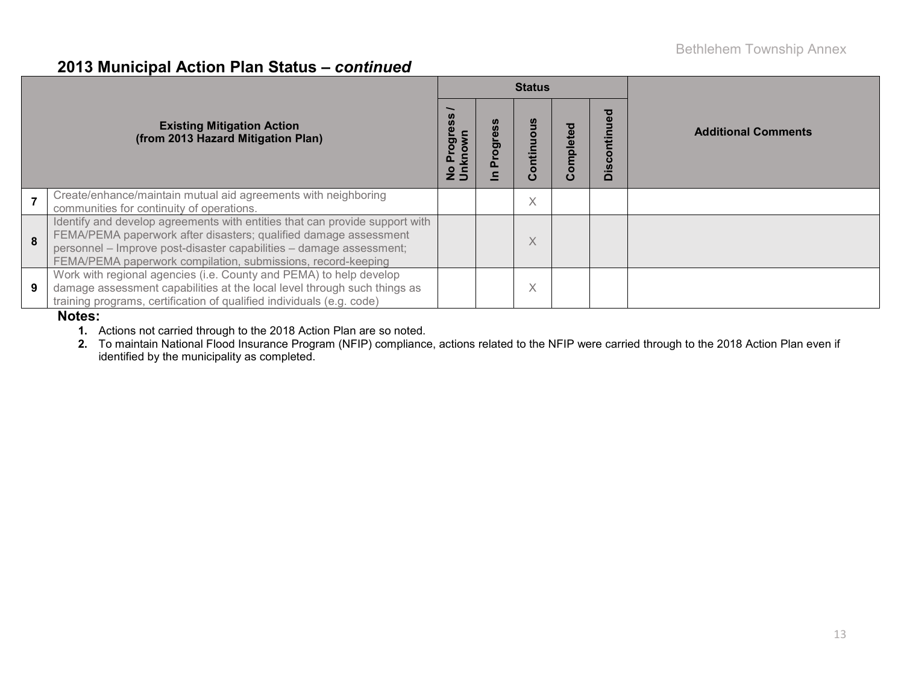#### **2013 Municipal Action Plan Status –** *continued*

|   |                                                                                                                                                                                                                                                                                        |                                |   | <b>Status</b> |          |                                |                            |  |
|---|----------------------------------------------------------------------------------------------------------------------------------------------------------------------------------------------------------------------------------------------------------------------------------------|--------------------------------|---|---------------|----------|--------------------------------|----------------------------|--|
|   | <b>Existing Mitigation Action</b><br>(from 2013 Hazard Mitigation Plan)                                                                                                                                                                                                                | Progres<br>No Progi<br>Unknowr | 5 | Continuous    | ompletec | ъ<br>$\bar{q}$<br>--<br>$\Box$ | <b>Additional Comments</b> |  |
|   | Create/enhance/maintain mutual aid agreements with neighboring<br>communities for continuity of operations.                                                                                                                                                                            |                                |   | $\times$      |          |                                |                            |  |
| 8 | Identify and develop agreements with entities that can provide support with<br>FEMA/PEMA paperwork after disasters; qualified damage assessment<br>personnel - Improve post-disaster capabilities - damage assessment;<br>FEMA/PEMA paperwork compilation, submissions, record-keeping |                                |   | X             |          |                                |                            |  |
| 9 | Work with regional agencies (i.e. County and PEMA) to help develop<br>damage assessment capabilities at the local level through such things as<br>training programs, certification of qualified individuals (e.g. code)                                                                |                                |   | X             |          |                                |                            |  |

#### **Notes:**

**1.** Actions not carried through to the 2018 Action Plan are so noted.

**2.** To maintain National Flood Insurance Program (NFIP) compliance, actions related to the NFIP were carried through to the 2018 Action Plan even if identified by the municipality as completed.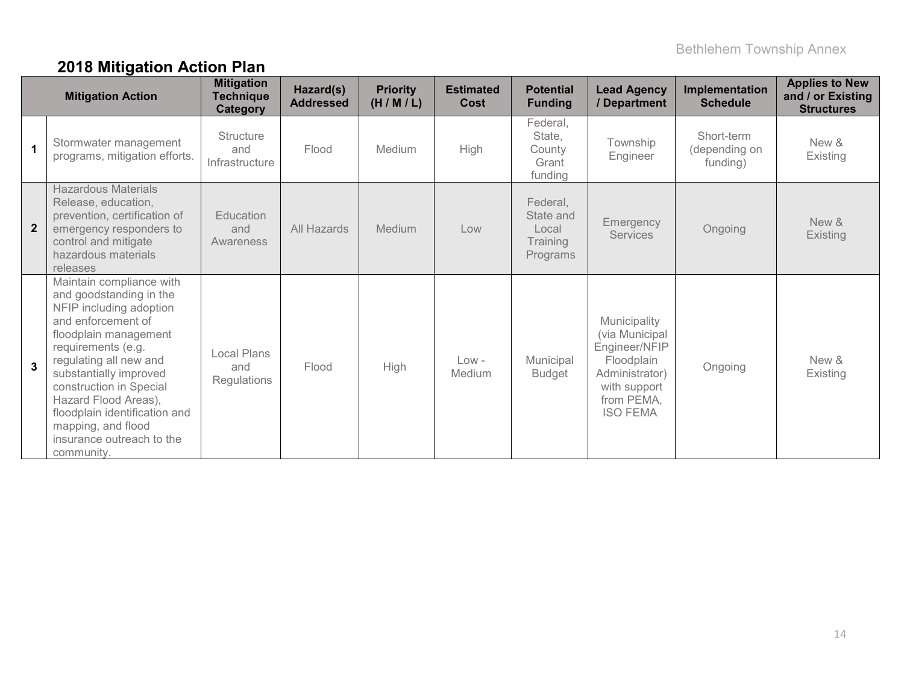## **2018 Mitigation Action Plan**

|                | <b>Mitigation Action</b>                                                                                                                                                                                                                                                                                                                                     | <b>Mitigation</b><br><b>Technique</b><br><b>Category</b> | Hazard(s)<br><b>Addressed</b> | <b>Priority</b><br>(H/M/L) | <b>Estimated</b><br>Cost | <b>Potential</b><br><b>Funding</b>                     | <b>Lead Agency</b><br>/ Department                                                                                               | Implementation<br><b>Schedule</b>       | <b>Applies to New</b><br>and / or Existing<br><b>Structures</b> |
|----------------|--------------------------------------------------------------------------------------------------------------------------------------------------------------------------------------------------------------------------------------------------------------------------------------------------------------------------------------------------------------|----------------------------------------------------------|-------------------------------|----------------------------|--------------------------|--------------------------------------------------------|----------------------------------------------------------------------------------------------------------------------------------|-----------------------------------------|-----------------------------------------------------------------|
| $\mathbf 1$    | Stormwater management<br>programs, mitigation efforts.                                                                                                                                                                                                                                                                                                       | <b>Structure</b><br>and<br>Infrastructure                | Flood                         | Medium                     | High                     | Federal,<br>State,<br>County<br>Grant<br>funding       | Township<br>Engineer                                                                                                             | Short-term<br>(depending on<br>funding) | New &<br>Existing                                               |
| $\overline{2}$ | <b>Hazardous Materials</b><br>Release, education,<br>prevention, certification of<br>emergency responders to<br>control and mitigate<br>hazardous materials<br>releases                                                                                                                                                                                      | Education<br>and<br>Awareness                            | All Hazards                   | Medium                     | Low                      | Federal,<br>State and<br>Local<br>Training<br>Programs | Emergency<br><b>Services</b>                                                                                                     | Ongoing                                 | New &<br>Existing                                               |
| $\overline{3}$ | Maintain compliance with<br>and goodstanding in the<br>NFIP including adoption<br>and enforcement of<br>floodplain management<br>requirements (e.g.<br>regulating all new and<br>substantially improved<br>construction in Special<br>Hazard Flood Areas),<br>floodplain identification and<br>mapping, and flood<br>insurance outreach to the<br>community. | <b>Local Plans</b><br>and<br><b>Regulations</b>          | Flood                         | High                       | $Low -$<br>Medium        | Municipal<br>Budget                                    | Municipality<br>(via Municipal<br>Engineer/NFIP<br>Floodplain<br>Administrator)<br>with support<br>from PEMA,<br><b>ISO FEMA</b> | Ongoing                                 | New &<br>Existing                                               |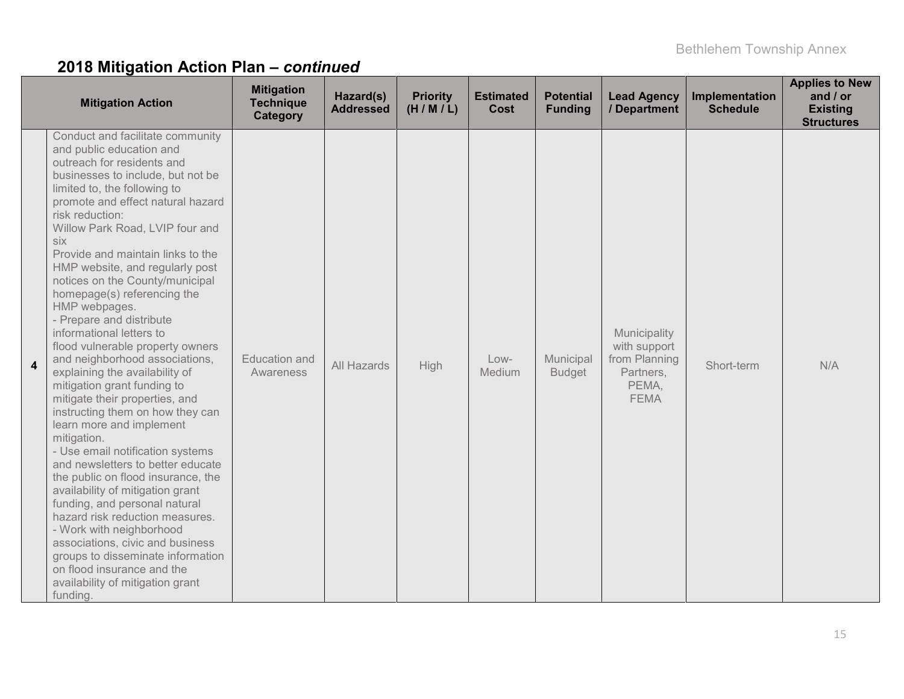|   | <b>Mitigation Action</b>                                                                                                                                                                                                                                                                                                                                                                                                                                                                                                                                                                                                                                                                                                                                                                                                                                                                                                                                                                                                                                                                                                                               | <b>Mitigation</b><br><b>Technique</b><br>Category | Hazard(s)<br><b>Addressed</b> | <b>Priority</b><br>(H/M/L) | <b>Estimated</b><br><b>Cost</b> | <b>Potential</b><br><b>Funding</b> | <b>Lead Agency</b><br>/ Department                                                 | Implementation<br><b>Schedule</b> | <b>Applies to New</b><br>and / or<br><b>Existing</b><br><b>Structures</b> |
|---|--------------------------------------------------------------------------------------------------------------------------------------------------------------------------------------------------------------------------------------------------------------------------------------------------------------------------------------------------------------------------------------------------------------------------------------------------------------------------------------------------------------------------------------------------------------------------------------------------------------------------------------------------------------------------------------------------------------------------------------------------------------------------------------------------------------------------------------------------------------------------------------------------------------------------------------------------------------------------------------------------------------------------------------------------------------------------------------------------------------------------------------------------------|---------------------------------------------------|-------------------------------|----------------------------|---------------------------------|------------------------------------|------------------------------------------------------------------------------------|-----------------------------------|---------------------------------------------------------------------------|
| 4 | Conduct and facilitate community<br>and public education and<br>outreach for residents and<br>businesses to include, but not be<br>limited to, the following to<br>promote and effect natural hazard<br>risk reduction:<br>Willow Park Road, LVIP four and<br>six<br>Provide and maintain links to the<br>HMP website, and regularly post<br>notices on the County/municipal<br>homepage(s) referencing the<br>HMP webpages.<br>- Prepare and distribute<br>informational letters to<br>flood vulnerable property owners<br>and neighborhood associations,<br>explaining the availability of<br>mitigation grant funding to<br>mitigate their properties, and<br>instructing them on how they can<br>learn more and implement<br>mitigation.<br>- Use email notification systems<br>and newsletters to better educate<br>the public on flood insurance, the<br>availability of mitigation grant<br>funding, and personal natural<br>hazard risk reduction measures.<br>- Work with neighborhood<br>associations, civic and business<br>groups to disseminate information<br>on flood insurance and the<br>availability of mitigation grant<br>funding. | <b>Education and</b><br>Awareness                 | All Hazards                   | High                       | Low-<br>Medium                  | Municipal<br><b>Budget</b>         | Municipality<br>with support<br>from Planning<br>Partners,<br>PEMA,<br><b>FEMA</b> | Short-term                        | N/A                                                                       |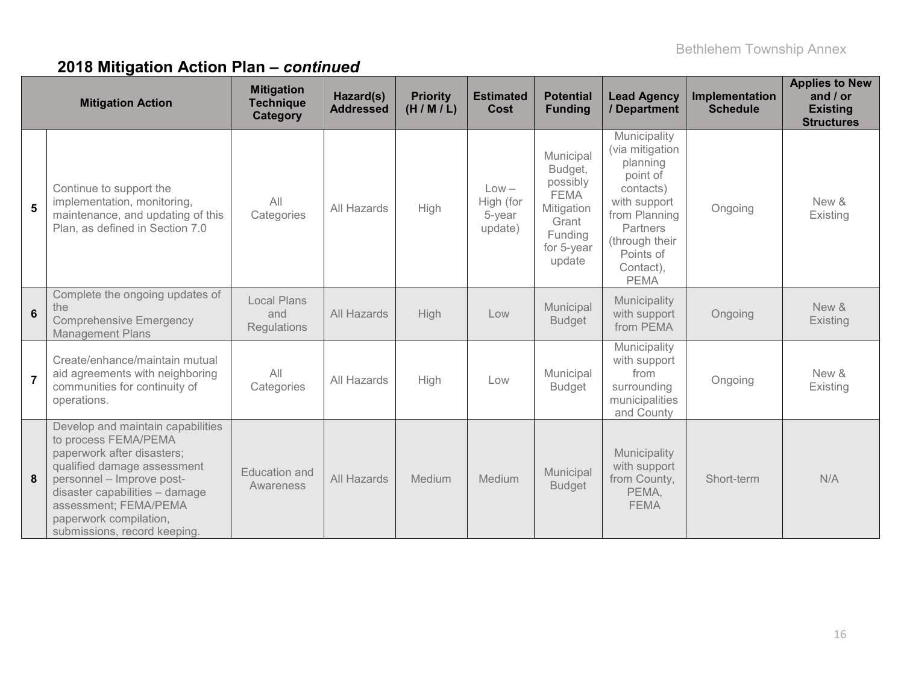|                | <b>Mitigation Action</b>                                                                                                                                                                                                                                                 | <b>Mitigation</b><br><b>Technique</b><br>Category | Hazard(s)<br><b>Addressed</b> | <b>Priority</b><br>(H/M/L) | <b>Estimated</b><br><b>Cost</b>           | <b>Potential</b><br><b>Funding</b>                                                                        | <b>Lead Agency</b><br>/ Department                                                                                                                                           | Implementation<br><b>Schedule</b> | <b>Applies to New</b><br>and $/$ or<br><b>Existing</b><br><b>Structures</b> |
|----------------|--------------------------------------------------------------------------------------------------------------------------------------------------------------------------------------------------------------------------------------------------------------------------|---------------------------------------------------|-------------------------------|----------------------------|-------------------------------------------|-----------------------------------------------------------------------------------------------------------|------------------------------------------------------------------------------------------------------------------------------------------------------------------------------|-----------------------------------|-----------------------------------------------------------------------------|
| $5\phantom{1}$ | Continue to support the<br>implementation, monitoring,<br>maintenance, and updating of this<br>Plan, as defined in Section 7.0                                                                                                                                           | All<br>Categories                                 | All Hazards                   | High                       | $Low -$<br>High (for<br>5-year<br>update) | Municipal<br>Budget,<br>possibly<br><b>FEMA</b><br>Mitigation<br>Grant<br>Funding<br>for 5-year<br>update | Municipality<br>(via mitigation<br>planning<br>point of<br>contacts)<br>with support<br>from Planning<br>Partners<br>(through their<br>Points of<br>Contact),<br><b>PEMA</b> | Ongoing                           | New &<br>Existing                                                           |
| 6              | Complete the ongoing updates of<br>the<br><b>Comprehensive Emergency</b><br><b>Management Plans</b>                                                                                                                                                                      | <b>Local Plans</b><br>and<br><b>Regulations</b>   | All Hazards                   | High                       | Low                                       | Municipal<br><b>Budget</b>                                                                                | Municipality<br>with support<br>from PEMA                                                                                                                                    | Ongoing                           | New &<br>Existing                                                           |
| $\overline{7}$ | Create/enhance/maintain mutual<br>aid agreements with neighboring<br>communities for continuity of<br>operations.                                                                                                                                                        | All<br>Categories                                 | All Hazards                   | High                       | Low                                       | Municipal<br><b>Budget</b>                                                                                | Municipality<br>with support<br>from<br>surrounding<br>municipalities<br>and County                                                                                          | Ongoing                           | New &<br>Existing                                                           |
| 8              | Develop and maintain capabilities<br>to process FEMA/PEMA<br>paperwork after disasters;<br>qualified damage assessment<br>personnel - Improve post-<br>disaster capabilities - damage<br>assessment; FEMA/PEMA<br>paperwork compilation,<br>submissions, record keeping. | <b>Education and</b><br>Awareness                 | All Hazards                   | Medium                     | <b>Medium</b>                             | Municipal<br><b>Budget</b>                                                                                | Municipality<br>with support<br>from County,<br>PEMA,<br><b>FEMA</b>                                                                                                         | Short-term                        | N/A                                                                         |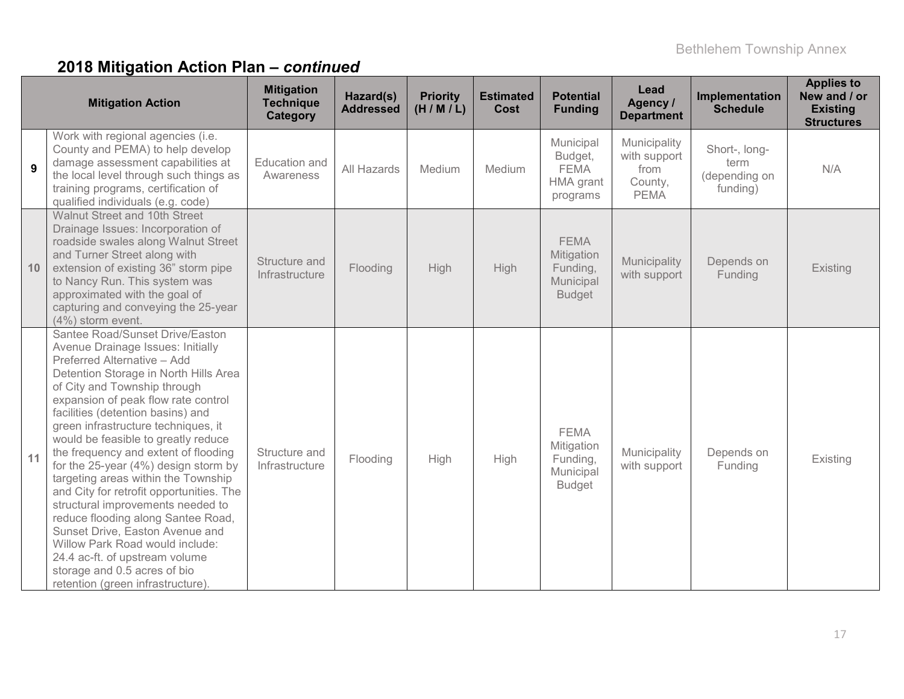|    | <b>Mitigation Action</b>                                                                                                                                                                                                                                                                                                                                                                                                                                                                                                                                                                                                                                                                                                                                         | <b>Mitigation</b><br><b>Technique</b><br>Category | Hazard(s)<br><b>Addressed</b> | <b>Priority</b><br>(H/M/L) | <b>Estimated</b><br>Cost | <b>Potential</b><br><b>Funding</b>                                  | Lead<br>Agency /<br><b>Department</b>                          | <b>Implementation</b><br><b>Schedule</b>           | <b>Applies to</b><br>New and / or<br><b>Existing</b><br><b>Structures</b> |
|----|------------------------------------------------------------------------------------------------------------------------------------------------------------------------------------------------------------------------------------------------------------------------------------------------------------------------------------------------------------------------------------------------------------------------------------------------------------------------------------------------------------------------------------------------------------------------------------------------------------------------------------------------------------------------------------------------------------------------------------------------------------------|---------------------------------------------------|-------------------------------|----------------------------|--------------------------|---------------------------------------------------------------------|----------------------------------------------------------------|----------------------------------------------------|---------------------------------------------------------------------------|
| 9  | Work with regional agencies (i.e.<br>County and PEMA) to help develop<br>damage assessment capabilities at<br>the local level through such things as<br>training programs, certification of<br>qualified individuals (e.g. code)                                                                                                                                                                                                                                                                                                                                                                                                                                                                                                                                 | Education and<br>Awareness                        | All Hazards                   | Medium                     | Medium                   | Municipal<br>Budget,<br><b>FEMA</b><br>HMA grant<br>programs        | Municipality<br>with support<br>from<br>County,<br><b>PEMA</b> | Short-, long-<br>term<br>(depending on<br>funding) | N/A                                                                       |
| 10 | Walnut Street and 10th Street<br>Drainage Issues: Incorporation of<br>roadside swales along Walnut Street<br>and Turner Street along with<br>extension of existing 36" storm pipe<br>to Nancy Run. This system was<br>approximated with the goal of<br>capturing and conveying the 25-year<br>(4%) storm event.                                                                                                                                                                                                                                                                                                                                                                                                                                                  | Structure and<br>Infrastructure                   | Flooding                      | High                       | <b>High</b>              | <b>FEMA</b><br>Mitigation<br>Funding,<br>Municipal<br><b>Budget</b> | Municipality<br>with support                                   | Depends on<br>Funding                              | Existing                                                                  |
| 11 | Santee Road/Sunset Drive/Easton<br>Avenue Drainage Issues: Initially<br>Preferred Alternative - Add<br>Detention Storage in North Hills Area<br>of City and Township through<br>expansion of peak flow rate control<br>facilities (detention basins) and<br>green infrastructure techniques, it<br>would be feasible to greatly reduce<br>the frequency and extent of flooding<br>for the 25-year (4%) design storm by<br>targeting areas within the Township<br>and City for retrofit opportunities. The<br>structural improvements needed to<br>reduce flooding along Santee Road,<br>Sunset Drive, Easton Avenue and<br>Willow Park Road would include:<br>24.4 ac-ft. of upstream volume<br>storage and 0.5 acres of bio<br>retention (green infrastructure) | Structure and<br>Infrastructure                   | Flooding                      | High                       | High                     | <b>FEMA</b><br>Mitigation<br>Funding,<br>Municipal<br><b>Budget</b> | Municipality<br>with support                                   | Depends on<br>Funding                              | Existing                                                                  |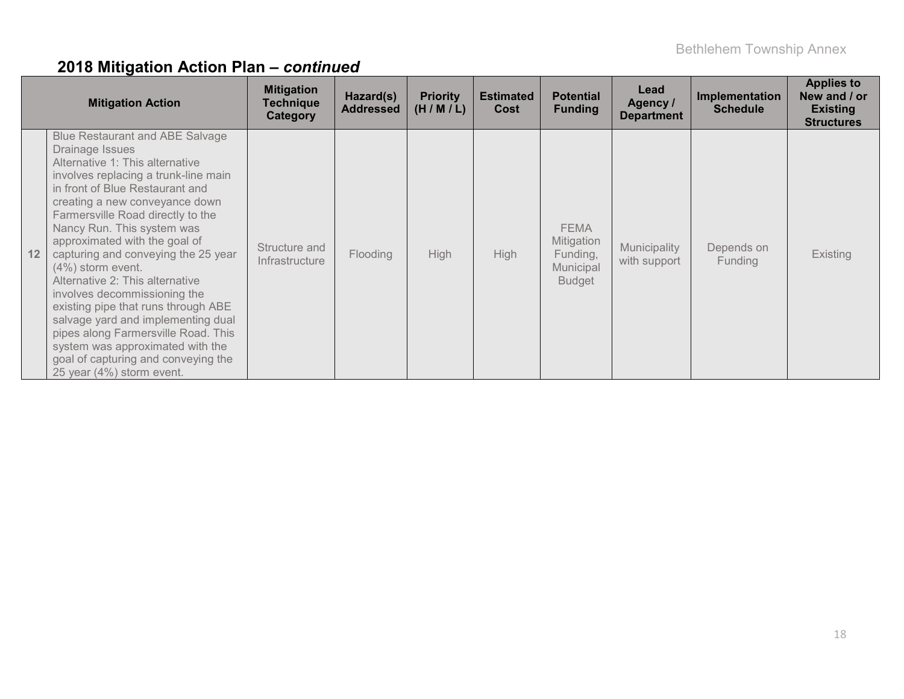|    | <b>Mitigation Action</b>                                                                                                                                                                                                                                                                                                                                                                                                                                                                                                                                                                                                                                                   | <b>Mitigation</b><br><b>Technique</b><br><b>Category</b> | Hazard(s)<br><b>Addressed</b> | <b>Priority</b><br>(H/M/L) | <b>Estimated</b><br>Cost | <b>Potential</b><br><b>Funding</b>                                  | Lead<br>Agency /<br><b>Department</b> | Implementation<br><b>Schedule</b> | <b>Applies to</b><br>New and / or<br><b>Existing</b><br><b>Structures</b> |
|----|----------------------------------------------------------------------------------------------------------------------------------------------------------------------------------------------------------------------------------------------------------------------------------------------------------------------------------------------------------------------------------------------------------------------------------------------------------------------------------------------------------------------------------------------------------------------------------------------------------------------------------------------------------------------------|----------------------------------------------------------|-------------------------------|----------------------------|--------------------------|---------------------------------------------------------------------|---------------------------------------|-----------------------------------|---------------------------------------------------------------------------|
| 12 | <b>Blue Restaurant and ABE Salvage</b><br>Drainage Issues<br>Alternative 1: This alternative<br>involves replacing a trunk-line main<br>in front of Blue Restaurant and<br>creating a new conveyance down<br>Farmersville Road directly to the<br>Nancy Run. This system was<br>approximated with the goal of<br>capturing and conveying the 25 year<br>$(4%)$ storm event.<br>Alternative 2: This alternative<br>involves decommissioning the<br>existing pipe that runs through ABE<br>salvage yard and implementing dual<br>pipes along Farmersville Road. This<br>system was approximated with the<br>goal of capturing and conveying the<br>25 year (4%) storm event. | Structure and<br>Infrastructure                          | Flooding                      | <b>High</b>                | <b>High</b>              | <b>FEMA</b><br>Mitigation<br>Funding,<br>Municipal<br><b>Budget</b> | Municipality<br>with support          | Depends on<br><b>Funding</b>      | <b>Existing</b>                                                           |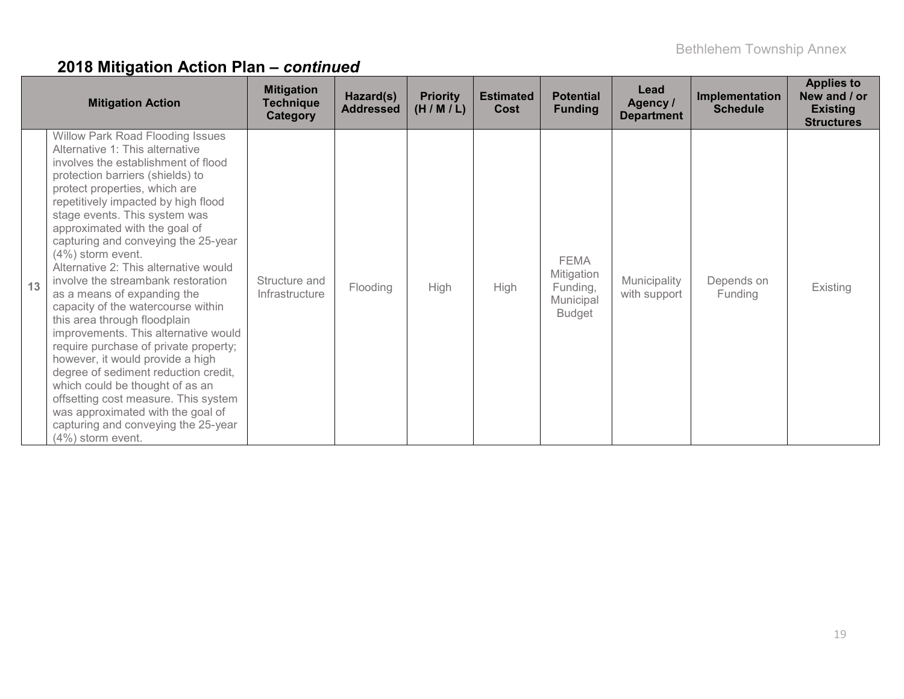|    | <b>Mitigation Action</b>                                                                                                                                                                                                                                                                                                                                                                                                                                                                                                                                                                                                                                                                                                                                                                                                                                                                       | <b>Mitigation</b><br><b>Technique</b><br>Category | Hazard(s)<br><b>Addressed</b> | <b>Priority</b><br>(H/M/L) | <b>Estimated</b><br>Cost | <b>Potential</b><br><b>Funding</b>                                  | Lead<br>Agency /<br><b>Department</b> | Implementation<br><b>Schedule</b> | <b>Applies to</b><br>New and / or<br><b>Existing</b><br><b>Structures</b> |
|----|------------------------------------------------------------------------------------------------------------------------------------------------------------------------------------------------------------------------------------------------------------------------------------------------------------------------------------------------------------------------------------------------------------------------------------------------------------------------------------------------------------------------------------------------------------------------------------------------------------------------------------------------------------------------------------------------------------------------------------------------------------------------------------------------------------------------------------------------------------------------------------------------|---------------------------------------------------|-------------------------------|----------------------------|--------------------------|---------------------------------------------------------------------|---------------------------------------|-----------------------------------|---------------------------------------------------------------------------|
| 13 | <b>Willow Park Road Flooding Issues</b><br>Alternative 1: This alternative<br>involves the establishment of flood<br>protection barriers (shields) to<br>protect properties, which are<br>repetitively impacted by high flood<br>stage events. This system was<br>approximated with the goal of<br>capturing and conveying the 25-year<br>$(4\%)$ storm event.<br>Alternative 2: This alternative would<br>involve the streambank restoration<br>as a means of expanding the<br>capacity of the watercourse within<br>this area through floodplain<br>improvements. This alternative would<br>require purchase of private property;<br>however, it would provide a high<br>degree of sediment reduction credit,<br>which could be thought of as an<br>offsetting cost measure. This system<br>was approximated with the goal of<br>capturing and conveying the 25-year<br>$(4\%)$ storm event. | Structure and<br>Infrastructure                   | Flooding                      | <b>High</b>                | <b>High</b>              | <b>FEMA</b><br>Mitigation<br>Funding,<br>Municipal<br><b>Budget</b> | Municipality<br>with support          | Depends on<br>Funding             | Existing                                                                  |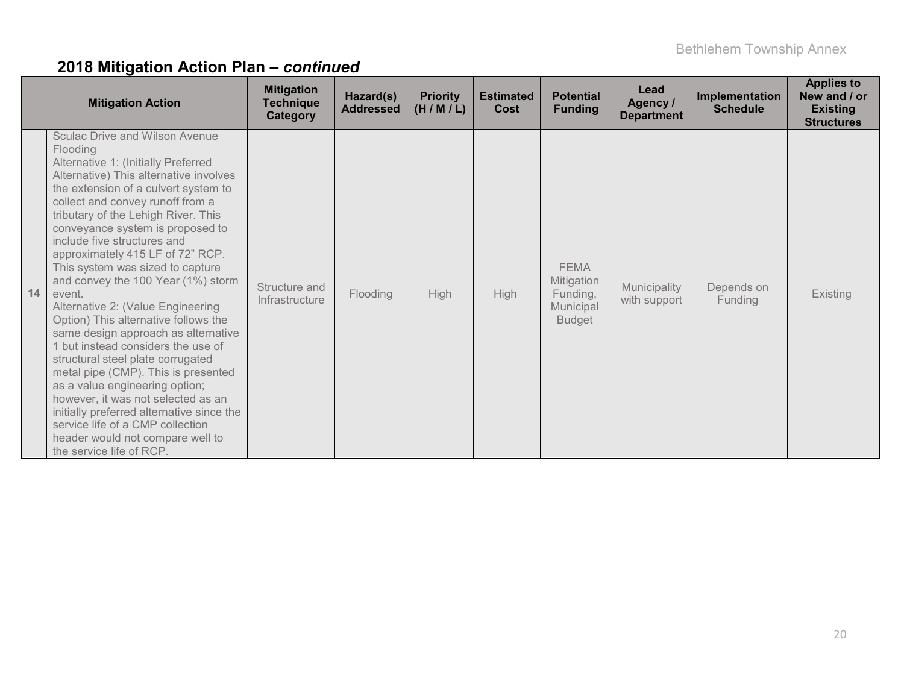|    | <b>Mitigation Action</b>                                                                                                                                                                                                                                                                                                                                                                                                                                                                                                                                                                                                                                                                                                                                                                                                                                                                                      | <b>Mitigation</b><br><b>Technique</b><br>Category | Hazard(s)<br><b>Addressed</b> | <b>Priority</b><br>(H/M/L) | <b>Estimated</b><br>Cost | <b>Potential</b><br><b>Funding</b>                                  | Lead<br>Agency /<br><b>Department</b> | Implementation<br><b>Schedule</b> | <b>Applies to</b><br>New and / or<br><b>Existing</b><br><b>Structures</b> |
|----|---------------------------------------------------------------------------------------------------------------------------------------------------------------------------------------------------------------------------------------------------------------------------------------------------------------------------------------------------------------------------------------------------------------------------------------------------------------------------------------------------------------------------------------------------------------------------------------------------------------------------------------------------------------------------------------------------------------------------------------------------------------------------------------------------------------------------------------------------------------------------------------------------------------|---------------------------------------------------|-------------------------------|----------------------------|--------------------------|---------------------------------------------------------------------|---------------------------------------|-----------------------------------|---------------------------------------------------------------------------|
| 14 | <b>Sculac Drive and Wilson Avenue</b><br>Flooding<br>Alternative 1: (Initially Preferred<br>Alternative) This alternative involves<br>the extension of a culvert system to<br>collect and convey runoff from a<br>tributary of the Lehigh River. This<br>conveyance system is proposed to<br>include five structures and<br>approximately 415 LF of 72" RCP.<br>This system was sized to capture<br>and convey the 100 Year (1%) storm<br>event.<br>Alternative 2: (Value Engineering<br>Option) This alternative follows the<br>same design approach as alternative<br>but instead considers the use of<br>structural steel plate corrugated<br>metal pipe (CMP). This is presented<br>as a value engineering option;<br>however, it was not selected as an<br>initially preferred alternative since the<br>service life of a CMP collection<br>header would not compare well to<br>the service life of RCP. | Structure and<br>Infrastructure                   | Flooding                      | High                       | High                     | <b>FEMA</b><br>Mitigation<br>Funding,<br>Municipal<br><b>Budget</b> | Municipality<br>with support          | Depends on<br>Funding             | <b>Existing</b>                                                           |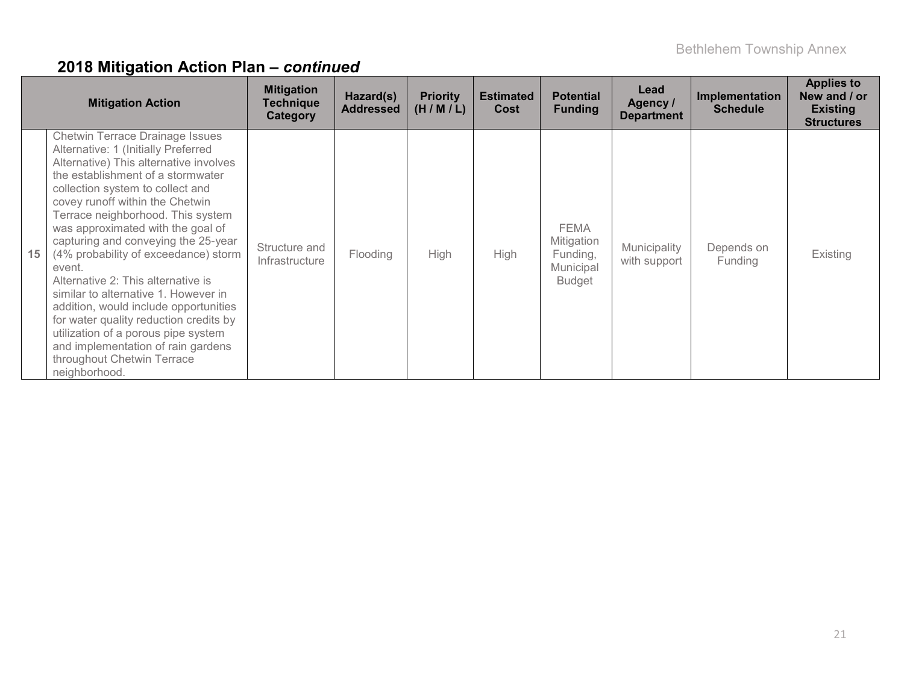|    | <b>Mitigation Action</b>                                                                                                                                                                                                                                                                                                                                                                                                                                                                                                                                                                                                                                                                            | <b>Mitigation</b><br><b>Technique</b><br>Category | Hazard(s)<br><b>Addressed</b> | <b>Priority</b><br>(H/M/L) | <b>Estimated</b><br>Cost | <b>Potential</b><br><b>Funding</b>                                  | Lead<br>Agency /<br><b>Department</b> | Implementation<br><b>Schedule</b> | <b>Applies to</b><br>New and / or<br><b>Existing</b><br><b>Structures</b> |
|----|-----------------------------------------------------------------------------------------------------------------------------------------------------------------------------------------------------------------------------------------------------------------------------------------------------------------------------------------------------------------------------------------------------------------------------------------------------------------------------------------------------------------------------------------------------------------------------------------------------------------------------------------------------------------------------------------------------|---------------------------------------------------|-------------------------------|----------------------------|--------------------------|---------------------------------------------------------------------|---------------------------------------|-----------------------------------|---------------------------------------------------------------------------|
| 15 | <b>Chetwin Terrace Drainage Issues</b><br>Alternative: 1 (Initially Preferred<br>Alternative) This alternative involves<br>the establishment of a stormwater<br>collection system to collect and<br>covey runoff within the Chetwin<br>Terrace neighborhood. This system<br>was approximated with the goal of<br>capturing and conveying the 25-year<br>(4% probability of exceedance) storm<br>event.<br>Alternative 2: This alternative is<br>similar to alternative 1. However in<br>addition, would include opportunities<br>for water quality reduction credits by<br>utilization of a porous pipe system<br>and implementation of rain gardens<br>throughout Chetwin Terrace<br>neighborhood. | Structure and<br>Infrastructure                   | Flooding                      | <b>High</b>                | High                     | <b>FEMA</b><br>Mitigation<br>Funding,<br>Municipal<br><b>Budget</b> | Municipality<br>with support          | Depends on<br>Funding             | Existing                                                                  |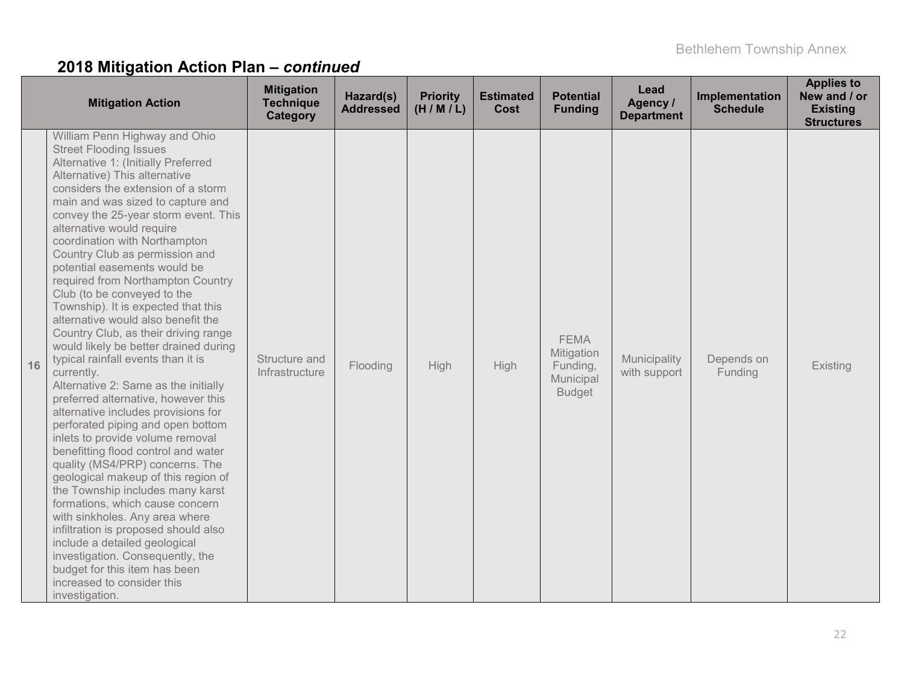|    | <b>Mitigation Action</b>                                                                                                                                                                                                                                                                                                                                                                                                                                                                                                                                                                                                                                                                                                                                                                                                                                                                                                                                                                                                                                                                                                                                                                                                                                                                               | <b>Mitigation</b><br><b>Technique</b><br>Category | Hazard(s)<br><b>Addressed</b> | <b>Priority</b><br>(H/M/L) | <b>Estimated</b><br><b>Cost</b> | <b>Potential</b><br><b>Funding</b>                                  | Lead<br>Agency /<br><b>Department</b> | Implementation<br><b>Schedule</b> | <b>Applies to</b><br>New and / or<br><b>Existing</b><br><b>Structures</b> |
|----|--------------------------------------------------------------------------------------------------------------------------------------------------------------------------------------------------------------------------------------------------------------------------------------------------------------------------------------------------------------------------------------------------------------------------------------------------------------------------------------------------------------------------------------------------------------------------------------------------------------------------------------------------------------------------------------------------------------------------------------------------------------------------------------------------------------------------------------------------------------------------------------------------------------------------------------------------------------------------------------------------------------------------------------------------------------------------------------------------------------------------------------------------------------------------------------------------------------------------------------------------------------------------------------------------------|---------------------------------------------------|-------------------------------|----------------------------|---------------------------------|---------------------------------------------------------------------|---------------------------------------|-----------------------------------|---------------------------------------------------------------------------|
| 16 | William Penn Highway and Ohio<br><b>Street Flooding Issues</b><br>Alternative 1: (Initially Preferred<br>Alternative) This alternative<br>considers the extension of a storm<br>main and was sized to capture and<br>convey the 25-year storm event. This<br>alternative would require<br>coordination with Northampton<br>Country Club as permission and<br>potential easements would be<br>required from Northampton Country<br>Club (to be conveyed to the<br>Township). It is expected that this<br>alternative would also benefit the<br>Country Club, as their driving range<br>would likely be better drained during<br>typical rainfall events than it is<br>currently.<br>Alternative 2: Same as the initially<br>preferred alternative, however this<br>alternative includes provisions for<br>perforated piping and open bottom<br>inlets to provide volume removal<br>benefitting flood control and water<br>quality (MS4/PRP) concerns. The<br>geological makeup of this region of<br>the Township includes many karst<br>formations, which cause concern<br>with sinkholes. Any area where<br>infiltration is proposed should also<br>include a detailed geological<br>investigation. Consequently, the<br>budget for this item has been<br>increased to consider this<br>investigation. | Structure and<br>Infrastructure                   | Flooding                      | High                       | High                            | <b>FEMA</b><br>Mitigation<br>Funding,<br>Municipal<br><b>Budget</b> | Municipality<br>with support          | Depends on<br>Funding             | Existing                                                                  |